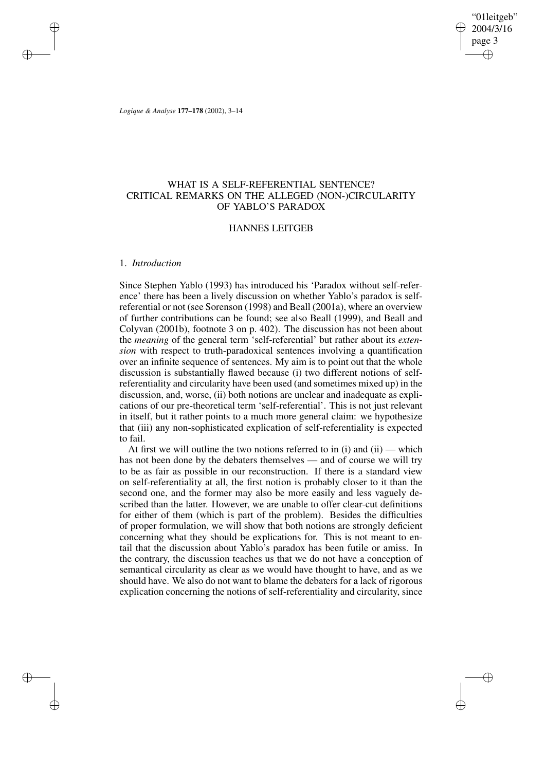"01leitgeb" 2004/3/16 page 3 ✐ ✐

✐

✐

*Logique & Analyse* **177–178** (2002), 3–14

✐

✐

✐

✐

# WHAT IS A SELF-REFERENTIAL SENTENCE? CRITICAL REMARKS ON THE ALLEGED (NON-)CIRCULARITY OF YABLO'S PARADOX

# HANNES LEITGEB

### 1. *Introduction*

Since Stephen Yablo (1993) has introduced his 'Paradox without self-reference' there has been a lively discussion on whether Yablo's paradox is selfreferential or not (see Sorenson (1998) and Beall (2001a), where an overview of further contributions can be found; see also Beall (1999), and Beall and Colyvan (2001b), footnote 3 on p. 402). The discussion has not been about the *meaning* of the general term 'self-referential' but rather about its *extension* with respect to truth-paradoxical sentences involving a quantification over an infinite sequence of sentences. My aim is to point out that the whole discussion is substantially flawed because (i) two different notions of selfreferentiality and circularity have been used (and sometimes mixed up) in the discussion, and, worse, (ii) both notions are unclear and inadequate as explications of our pre-theoretical term 'self-referential'. This is not just relevant in itself, but it rather points to a much more general claim: we hypothesize that (iii) any non-sophisticated explication of self-referentiality is expected to fail.

At first we will outline the two notions referred to in  $(i)$  and  $(ii)$  — which has not been done by the debaters themselves — and of course we will try to be as fair as possible in our reconstruction. If there is a standard view on self-referentiality at all, the first notion is probably closer to it than the second one, and the former may also be more easily and less vaguely described than the latter. However, we are unable to offer clear-cut definitions for either of them (which is part of the problem). Besides the difficulties of proper formulation, we will show that both notions are strongly deficient concerning what they should be explications for. This is not meant to entail that the discussion about Yablo's paradox has been futile or amiss. In the contrary, the discussion teaches us that we do not have a conception of semantical circularity as clear as we would have thought to have, and as we should have. We also do not want to blame the debaters for a lack of rigorous explication concerning the notions of self-referentiality and circularity, since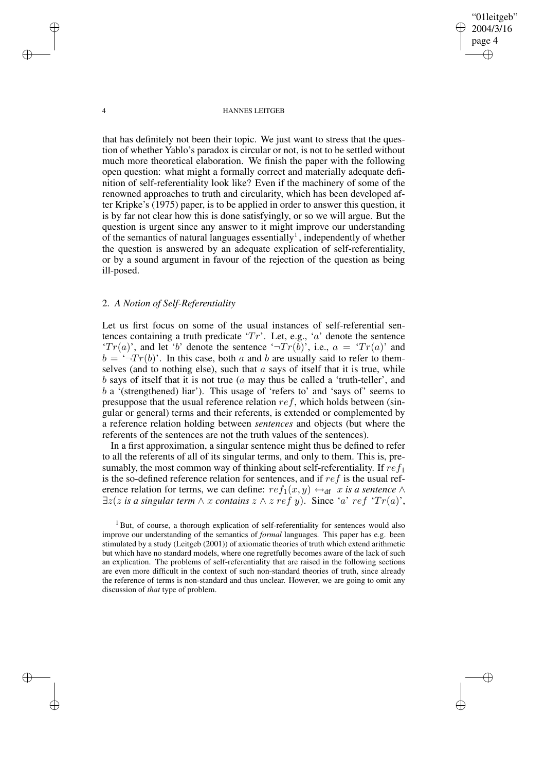"01leitgeb" 2004/3/16 page 4 ✐ ✐

✐

✐

#### 4 HANNES LEITGEB

that has definitely not been their topic. We just want to stress that the question of whether Yablo's paradox is circular or not, is not to be settled without much more theoretical elaboration. We finish the paper with the following open question: what might a formally correct and materially adequate definition of self-referentiality look like? Even if the machinery of some of the renowned approaches to truth and circularity, which has been developed after Kripke's (1975) paper, is to be applied in order to answer this question, it is by far not clear how this is done satisfyingly, or so we will argue. But the question is urgent since any answer to it might improve our understanding of the semantics of natural languages essentially<sup>1</sup>, independently of whether the question is answered by an adequate explication of self-referentiality, or by a sound argument in favour of the rejection of the question as being ill-posed.

# 2. *A Notion of Self-Referentiality*

Let us first focus on some of the usual instances of self-referential sentences containing a truth predicate ' $Tr'$ . Let, e.g., 'a' denote the sentence ' $Tr(a)$ ', and let 'b' denote the sentence ' $Tr(b)$ ', i.e.,  $a = Tr(a)$ ' and  $b = \sqrt{\tau(r(b))}$ . In this case, both a and b are usually said to refer to themselves (and to nothing else), such that  $\alpha$  says of itself that it is true, while b says of itself that it is not true  $(a \text{ may thus be called a 'truth-teller', and})$ b a '(strengthened) liar'). This usage of 'refers to' and 'says of' seems to presuppose that the usual reference relation  $ref$ , which holds between (singular or general) terms and their referents, is extended or complemented by a reference relation holding between *sentences* and objects (but where the referents of the sentences are not the truth values of the sentences).

In a first approximation, a singular sentence might thus be defined to refer to all the referents of all of its singular terms, and only to them. This is, presumably, the most common way of thinking about self-referentiality. If  $ref_1$ is the so-defined reference relation for sentences, and if  $ref$  is the usual reference relation for terms, we can define:  $ref_1(x, y) \leftrightarrow_{df} x$  *is a sentence* ∧  $\exists z(z \text{ is a singular term } \land x \text{ contains } z \land z \text{ ref } y)$ . Since 'a' ref 'Tr(a)',

✐

✐

✐

<sup>&</sup>lt;sup>1</sup> But, of course, a thorough explication of self-referentiality for sentences would also improve our understanding of the semantics of *formal* languages. This paper has e.g. been stimulated by a study (Leitgeb (2001)) of axiomatic theories of truth which extend arithmetic but which have no standard models, where one regretfully becomes aware of the lack of such an explication. The problems of self-referentiality that are raised in the following sections are even more difficult in the context of such non-standard theories of truth, since already the reference of terms is non-standard and thus unclear. However, we are going to omit any discussion of *that* type of problem.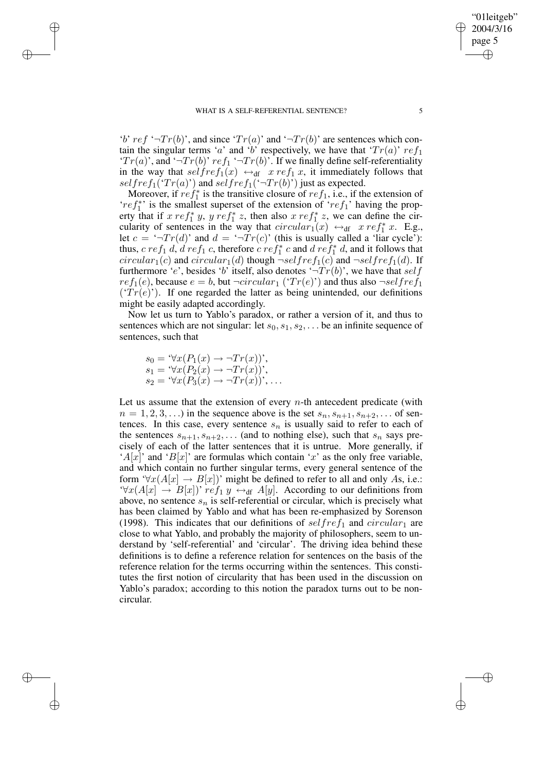'b' ref ' $\neg Tr(b)$ ', and since ' $Tr(a)$ ' and ' $\neg Tr(b)$ ' are sentences which contain the singular terms 'a' and 'b' respectively, we have that ' $Tr(a)$ '  $ref_1$ ' $Tr(a)$ ', and ' $Tr(b)$ '  $ref_1$ ' $Tr(b)$ '. If we finally define self-referentiality in the way that  $selfref_1(x) \leftrightarrow_{df} xref_1 x$ , it immediately follows that selfref<sub>1</sub>(' $Tr(a)$ ') and selfref<sub>1</sub>(' $Tr(b)$ ') just as expected.

Moreover, if  $ref_1^*$  is the transitive closure of  $ref_1$ , i.e., if the extension of ' $ref_1^*$ ' is the smallest superset of the extension of 're $f_1$ ' having the property that if x re $f_1^*$  y, y re $f_1^*$  z, then also x re $f_1^*$  z, we can define the circularity of sentences in the way that  $circular_1(x) \leftrightarrow_{df} xref_1^* x$ . E.g., let  $c = \sqrt{-T}r(d)$  and  $d = \sqrt{-T}r(c)$  (this is usually called a 'liar cycle'): thus,  $c ref_1 d$ ,  $d ref_1 c$ , therefore  $c ref_1^* c$  and  $d ref_1^* d$ , and it follows that circular<sub>1</sub>(c) and circular<sub>1</sub>(d) though  $\neg selfref_1(c)$  and  $\neg selfref_1(d)$ . If furthermore 'e', besides 'b' itself, also denotes ' $\neg Tr(b)$ ', we have that self  $ref_1(e)$ , because  $e = b$ , but  $\neg circular_1$  (' $Tr(e)$ ') and thus also  $\neg selfref_1$  $(Tr(e))$ . If one regarded the latter as being unintended, our definitions might be easily adapted accordingly.

Now let us turn to Yablo's paradox, or rather a version of it, and thus to sentences which are not singular: let  $s_0, s_1, s_2, \ldots$  be an infinite sequence of sentences, such that

$$
s_0 = \forall x (P_1(x) \to \neg Tr(x))',
$$
  
\n
$$
s_1 = \forall x (P_2(x) \to \neg Tr(x))',
$$
  
\n
$$
s_2 = \forall x (P_3(x) \to \neg Tr(x))', \dots
$$

✐

✐

✐

✐

Let us assume that the extension of every  $n$ -th antecedent predicate (with  $n = 1, 2, 3, \ldots$ ) in the sequence above is the set  $s_n, s_{n+1}, s_{n+2}, \ldots$  of sentences. In this case, every sentence  $s_n$  is usually said to refer to each of the sentences  $s_{n+1}, s_{n+2}, \ldots$  (and to nothing else), such that  $s_n$  says precisely of each of the latter sentences that it is untrue. More generally, if 'A[x]' and 'B[x]' are formulas which contain 'x' as the only free variable, and which contain no further singular terms, every general sentence of the form ' $\forall x(A[x] \rightarrow B[x])$ ' might be defined to refer to all and only As, i.e.:  $\forall x(A[x] \rightarrow B[x])'$  re $f_1 y \leftrightarrow_{df} A[y]$ . According to our definitions from above, no sentence  $s_n$  is self-referential or circular, which is precisely what has been claimed by Yablo and what has been re-emphasized by Sorenson (1998). This indicates that our definitions of  $selfref_1$  and  $circular_1$  are close to what Yablo, and probably the majority of philosophers, seem to understand by 'self-referential' and 'circular'. The driving idea behind these definitions is to define a reference relation for sentences on the basis of the reference relation for the terms occurring within the sentences. This constitutes the first notion of circularity that has been used in the discussion on Yablo's paradox; according to this notion the paradox turns out to be noncircular.

"01leitgeb" 2004/3/16 page 5

✐

✐

✐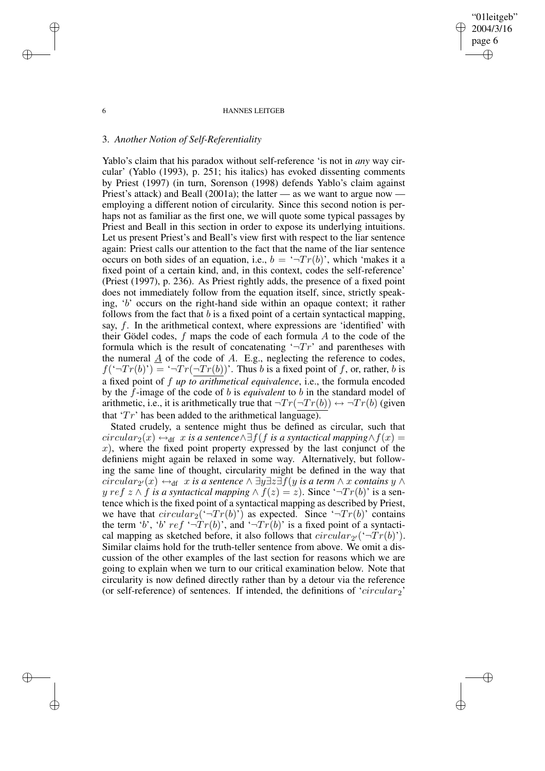#### 6 HANNES LEITGEB

"01leitgeb" 2004/3/16 page 6

✐

✐

✐

✐

### 3. *Another Notion of Self-Referentiality*

Yablo's claim that his paradox without self-reference 'is not in *any* way circular' (Yablo (1993), p. 251; his italics) has evoked dissenting comments by Priest (1997) (in turn, Sorenson (1998) defends Yablo's claim against Priest's attack) and Beall (2001a); the latter — as we want to argue now employing a different notion of circularity. Since this second notion is perhaps not as familiar as the first one, we will quote some typical passages by Priest and Beall in this section in order to expose its underlying intuitions. Let us present Priest's and Beall's view first with respect to the liar sentence again: Priest calls our attention to the fact that the name of the liar sentence occurs on both sides of an equation, i.e.,  $b = \neg Tr(b)$ , which 'makes it a fixed point of a certain kind, and, in this context, codes the self-reference' (Priest (1997), p. 236). As Priest rightly adds, the presence of a fixed point does not immediately follow from the equation itself, since, strictly speaking, 'b' occurs on the right-hand side within an opaque context; it rather follows from the fact that  $b$  is a fixed point of a certain syntactical mapping, say,  $f$ . In the arithmetical context, where expressions are 'identified' with their Gödel codes,  $f$  maps the code of each formula  $A$  to the code of the formula which is the result of concatenating  $\pi$ <sup>+</sup> $\pi$ <sup>+</sup> and parentheses with the numeral  $\underline{A}$  of the code of  $A$ . E.g., neglecting the reference to codes,  $f(\mathcal{T}Tr(b)) = \mathcal{T}Tr(\mathcal{T}Tr(b))$ . Thus b is a fixed point of f, or, rather, b is a fixed point of f *up to arithmetical equivalence*, i.e., the formula encoded by the f-image of the code of b is *equivalent* to b in the standard model of arithmetic, i.e., it is arithmetically true that  $\neg Tr(\neg Tr(b)) \leftrightarrow \neg Tr(b)$  (given that ' $Tr'$  has been added to the arithmetical language).

Stated crudely, a sentence might thus be defined as circular, such that  $circular_2(x) \leftrightarrow_{df} x$  *is a sentence* $\wedge \exists f(f \text{ is a syntactical mapping} \wedge f(x) =$  $x$ ), where the fixed point property expressed by the last conjunct of the definiens might again be relaxed in some way. Alternatively, but following the same line of thought, circularity might be defined in the way that  $circular_{2'}(x) \leftrightarrow_{\text{df}} x$  *is a sentence*  $\wedge \exists y \exists z \exists f(y \text{ is a term} \wedge x \text{ contains } y \wedge y)$ *y* ref  $z \wedge f$  *is a syntactical mapping*  $\wedge f(z) = z$ ). Since ' $\neg Tr(b)$ ' is a sentence which is the fixed point of a syntactical mapping as described by Priest, we have that  $circular_2(\neg Tr(b)')$  as expected. Since  $\neg Tr(b)$  contains the term 'b', 'b' ref ' $\neg Tr(b)$ ', and ' $\neg Tr(b)$ ' is a fixed point of a syntactical mapping as sketched before, it also follows that  $circular_{2'}(\text{``-}Tr(b))$ . Similar claims hold for the truth-teller sentence from above. We omit a discussion of the other examples of the last section for reasons which we are going to explain when we turn to our critical examination below. Note that circularity is now defined directly rather than by a detour via the reference (or self-reference) of sentences. If intended, the definitions of 'circular<sub>2</sub>'

✐

✐

✐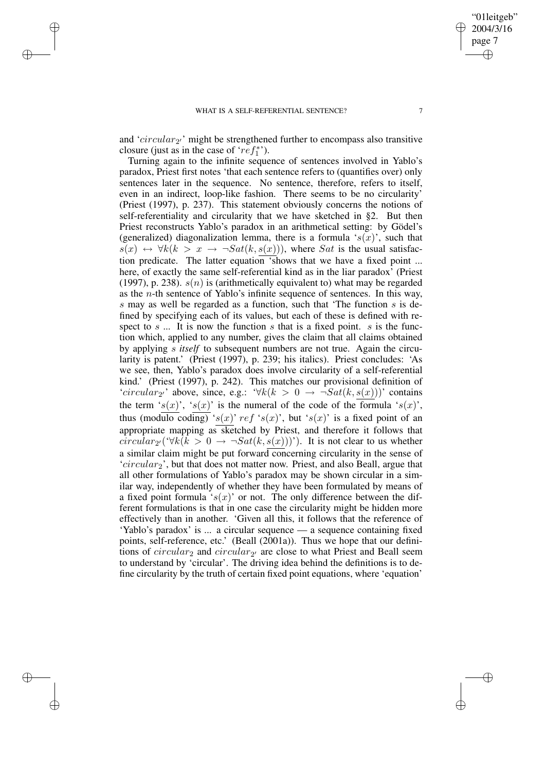✐

✐

✐

✐

and ' $circular_{2'}$ ' might be strengthened further to encompass also transitive closure (just as in the case of ' $ref_1^*$ ').

Turning again to the infinite sequence of sentences involved in Yablo's paradox, Priest first notes 'that each sentence refers to (quantifies over) only sentences later in the sequence. No sentence, therefore, refers to itself, even in an indirect, loop-like fashion. There seems to be no circularity' (Priest (1997), p. 237). This statement obviously concerns the notions of self-referentiality and circularity that we have sketched in §2. But then Priest reconstructs Yablo's paradox in an arithmetical setting: by Gödel's (generalized) diagonalization lemma, there is a formula ' $s(x)$ ', such that  $s(x) \leftrightarrow \forall k(k > x \rightarrow \neg Sat(k, s(x)))$ , where Sat is the usual satisfaction predicate. The latter equation 'shows that we have a fixed point ... here, of exactly the same self-referential kind as in the liar paradox' (Priest (1997), p. 238).  $s(n)$  is (arithmetically equivalent to) what may be regarded as the n-th sentence of Yablo's infinite sequence of sentences. In this way, s may as well be regarded as a function, such that 'The function s is defined by specifying each of its values, but each of these is defined with respect to  $s$  ... It is now the function  $s$  that is a fixed point.  $s$  is the function which, applied to any number, gives the claim that all claims obtained by applying s *itself* to subsequent numbers are not true. Again the circularity is patent.' (Priest (1997), p. 239; his italics). Priest concludes: 'As we see, then, Yablo's paradox does involve circularity of a self-referential kind.' (Priest (1997), p. 242). This matches our provisional definition of 'circular<sub>2'</sub>' above, since, e.g.:  $\forall k(k > 0 \rightarrow \neg Sat(k, s(x)))$ ' contains the term 's(x)', 's(x)' is the numeral of the code of the formula 's(x)', thus (modulo coding) 's(x)' ref 's(x)', but 's(x)' is a fixed point of an appropriate mapping as sketched by Priest, and therefore it follows that  $circular_{2'}(\forall k(k > 0 \rightarrow \neg Sat(k, s(x))))$ . It is not clear to us whether a similar claim might be put forward concerning circularity in the sense of  $'circular_2'$ , but that does not matter now. Priest, and also Beall, argue that all other formulations of Yablo's paradox may be shown circular in a similar way, independently of whether they have been formulated by means of a fixed point formula ' $s(x)$ ' or not. The only difference between the different formulations is that in one case the circularity might be hidden more effectively than in another. 'Given all this, it follows that the reference of 'Yablo's paradox' is ... a circular sequence — a sequence containing fixed points, self-reference, etc.' (Beall (2001a)). Thus we hope that our definitions of  $circular_2$  and  $circular_2$  are close to what Priest and Beall seem to understand by 'circular'. The driving idea behind the definitions is to define circularity by the truth of certain fixed point equations, where 'equation'

✐

✐

"01leitgeb"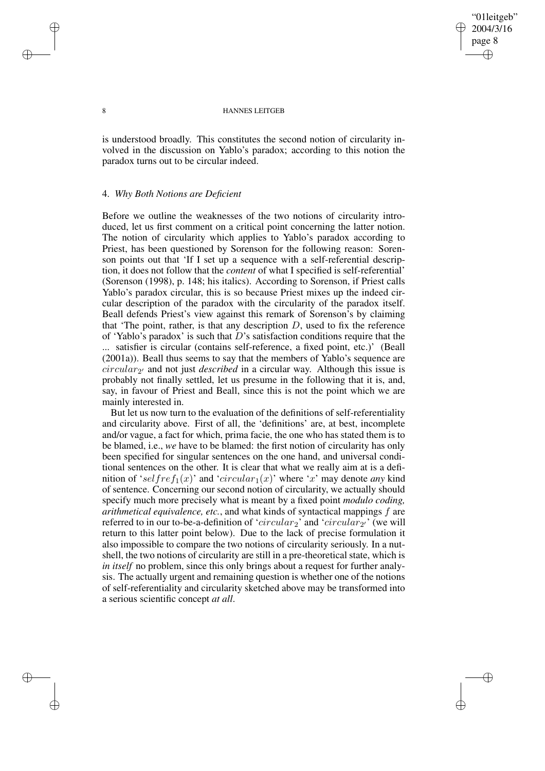"01leitgeb" 2004/3/16 page 8 ✐ ✐

✐

✐

#### 8 HANNES LEITGEB

is understood broadly. This constitutes the second notion of circularity involved in the discussion on Yablo's paradox; according to this notion the paradox turns out to be circular indeed.

### 4. *Why Both Notions are Deficient*

Before we outline the weaknesses of the two notions of circularity introduced, let us first comment on a critical point concerning the latter notion. The notion of circularity which applies to Yablo's paradox according to Priest, has been questioned by Sorenson for the following reason: Sorenson points out that 'If I set up a sequence with a self-referential description, it does not follow that the *content* of what I specified is self-referential' (Sorenson (1998), p. 148; his italics). According to Sorenson, if Priest calls Yablo's paradox circular, this is so because Priest mixes up the indeed circular description of the paradox with the circularity of the paradox itself. Beall defends Priest's view against this remark of Sorenson's by claiming that 'The point, rather, is that any description  $D$ , used to fix the reference of 'Yablo's paradox' is such that  $D$ 's satisfaction conditions require that the satisfier is circular (contains self-reference, a fixed point, etc.)' (Beall (2001a)). Beall thus seems to say that the members of Yablo's sequence are  $circular_2$ <sup>,</sup> and not just *described* in a circular way. Although this issue is probably not finally settled, let us presume in the following that it is, and, say, in favour of Priest and Beall, since this is not the point which we are mainly interested in.

But let us now turn to the evaluation of the definitions of self-referentiality and circularity above. First of all, the 'definitions' are, at best, incomplete and/or vague, a fact for which, prima facie, the one who has stated them is to be blamed, i.e., *we* have to be blamed: the first notion of circularity has only been specified for singular sentences on the one hand, and universal conditional sentences on the other. It is clear that what we really aim at is a definition of 'selfref<sub>1</sub>(x)' and 'circular<sub>1</sub>(x)' where 'x' may denote *any* kind of sentence. Concerning our second notion of circularity, we actually should specify much more precisely what is meant by a fixed point *modulo coding, arithmetical equivalence, etc.*, and what kinds of syntactical mappings f are referred to in our to-be-a-definition of '*circular*<sub>2</sub>' and '*circular*<sub>2'</sub>' (we will return to this latter point below). Due to the lack of precise formulation it also impossible to compare the two notions of circularity seriously. In a nutshell, the two notions of circularity are still in a pre-theoretical state, which is *in itself* no problem, since this only brings about a request for further analysis. The actually urgent and remaining question is whether one of the notions of self-referentiality and circularity sketched above may be transformed into a serious scientific concept *at all*.

✐

✐

✐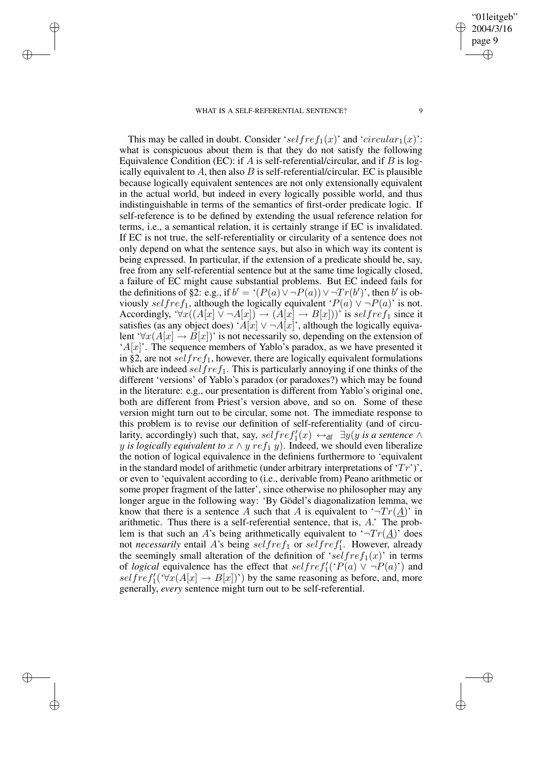#### WHAT IS A SELF-REFERENTIAL SENTENCE? 9

✐

✐

✐

✐

"01leitgeb" 2004/3/16 page 9

✐

✐

✐

✐

This may be called in doubt. Consider 'selfref<sub>1</sub>(x)' and 'circular<sub>1</sub>(x)': what is conspicuous about them is that they do not satisfy the following Equivalence Condition (EC): if A is self-referential/circular, and if B is logically equivalent to A, then also B is self-referential/circular. EC is plausible because logically equivalent sentences are not only extensionally equivalent in the actual world, but indeed in every logically possible world, and thus indistinguishable in terms of the semantics of first-order predicate logic. If self-reference is to be defined by extending the usual reference relation for terms, i.e., a semantical relation, it is certainly strange if EC is invalidated. If EC is not true, the self-referentiality or circularity of a sentence does not only depend on what the sentence says, but also in which way its content is being expressed. In particular, if the extension of a predicate should be, say, free from any self-referential sentence but at the same time logically closed, a failure of EC might cause substantial problems. But EC indeed fails for the definitions of §2: e.g., if  $b' = (P(a) \vee \neg P(a)) \vee \neg Tr(b')'$ , then b' is obviously selfref<sub>1</sub>, although the logically equivalent ' $P(a) \vee \neg P(a)$ ' is not. Accordingly, ' $\forall x((A[x] \vee \neg A[x]) \rightarrow (A[x] \rightarrow B[x]))'$  is selfref<sub>1</sub> since it satisfies (as any object does) ' $A[x] \vee \neg A[x]$ ', although the logically equivalent ' $\forall x(A[x] \rightarrow B[x])$ ' is not necessarily so, depending on the extension of  $A[x]$ . The sequence members of Yablo's paradox, as we have presented it in §2, are not self  $ref_1$ , however, there are logically equivalent formulations which are indeed self ref<sub>1</sub>. This is particularly annoying if one thinks of the different 'versions' of Yablo's paradox (or paradoxes?) which may be found in the literature: e.g., our presentation is different from Yablo's original one, both are different from Priest's version above, and so on. Some of these version might turn out to be circular, some not. The immediate response to this problem is to revise our definition of self-referentiality (and of circularity, accordingly) such that, say,  $selfref'_{1}(x) \leftrightarrow_{df} \exists y(y \text{ is a sentence } \wedge$ *y is logically equivalent to*  $x \wedge y$  *re*  $f_1$   $y$ *)*. Indeed, we should even liberalize the notion of logical equivalence in the definiens furthermore to 'equivalent in the standard model of arithmetic (under arbitrary interpretations of  $Tr'$ )', or even to 'equivalent according to (i.e., derivable from) Peano arithmetic or some proper fragment of the latter', since otherwise no philosopher may any longer argue in the following way: 'By Gödel's diagonalization lemma, we know that there is a sentence A such that A is equivalent to  $\pi T r(\underline{A})$  in arithmetic. Thus there is a self-referential sentence, that is, A.' The problem is that such an A's being arithmetically equivalent to  $\pi T r(\underline{A})$  does not *necessarily* entail A's being selfref<sub>1</sub> or selfref<sub>1</sub>. However, already the seemingly small alteration of the definition of 'selfref<sub>1</sub>(x)' in terms of *logical* equivalence has the effect that  $selfref'_{1}(P(a) \vee \neg P(a))$  and  $selfref'_1(\forall x(A[x] \rightarrow B[x]))$  by the same reasoning as before, and, more generally, *every* sentence might turn out to be self-referential.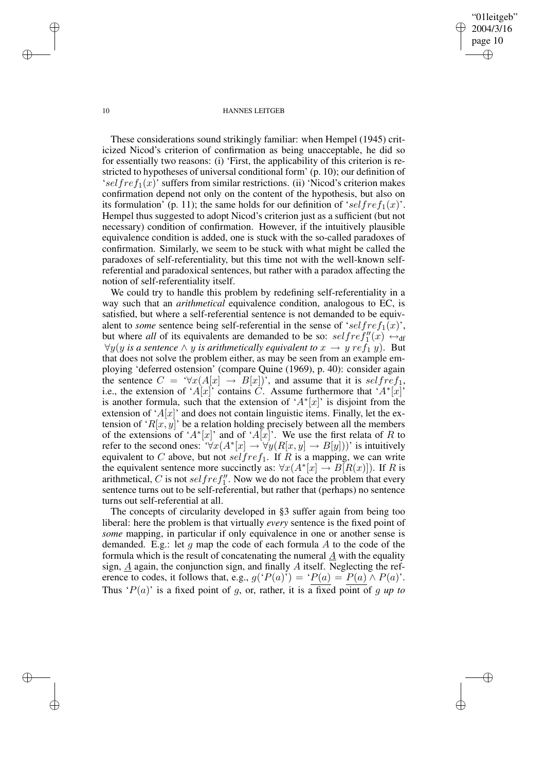"01leitgeb" 2004/3/16 page 10 ✐ ✐

✐

✐

#### 10 HANNES LEITGEB

These considerations sound strikingly familiar: when Hempel (1945) criticized Nicod's criterion of confirmation as being unacceptable, he did so for essentially two reasons: (i) 'First, the applicability of this criterion is restricted to hypotheses of universal conditional form' (p. 10); our definition of 'selfre $f_1(x)$ ' suffers from similar restrictions. (ii) 'Nicod's criterion makes confirmation depend not only on the content of the hypothesis, but also on its formulation' (p. 11); the same holds for our definition of 'selfref<sub>1</sub>(x)'. Hempel thus suggested to adopt Nicod's criterion just as a sufficient (but not necessary) condition of confirmation. However, if the intuitively plausible equivalence condition is added, one is stuck with the so-called paradoxes of confirmation. Similarly, we seem to be stuck with what might be called the paradoxes of self-referentiality, but this time not with the well-known selfreferential and paradoxical sentences, but rather with a paradox affecting the notion of self-referentiality itself.

We could try to handle this problem by redefining self-referentiality in a way such that an *arithmetical* equivalence condition, analogous to EC, is satisfied, but where a self-referential sentence is not demanded to be equivalent to *some* sentence being self-referential in the sense of 'selfref<sub>1</sub>(x)', but where *all* of its equivalents are demanded to be so:  $selfref''_1(x) \leftrightarrow_{\text{df}}$ ∀y(y *is a* sentence  $\land$  y *is* arithmetically equivalent to  $x \rightarrow y$  re $f_1$  y). But that does not solve the problem either, as may be seen from an example employing 'deferred ostension' (compare Quine (1969), p. 40): consider again the sentence  $C = \forall x (A[x] \rightarrow B[x])$ , and assume that it is self ref<sub>1</sub>, i.e., the extension of 'A[x]' contains C. Assume furthermore that 'A\*[x]' is another formula, such that the extension of ' $A^*[x]$ ' is disjoint from the extension of  $A[x]$  and does not contain linguistic items. Finally, let the extension of ' $R[x, y]$ ' be a relation holding precisely between all the members of the extensions of ' $A^*$ [x]' and of 'A[x]'. We use the first relata of R to refer to the second ones: ' $\forall x (A^*[x] \rightarrow \forall y (R[x, y] \rightarrow B[y]))$ ' is intuitively equivalent to C above, but not self ref<sub>1</sub>. If R is a mapping, we can write the equivalent sentence more succinctly as:  $\forall x (A^* [x] \rightarrow B[R(x)])$ . If R is arithmetical, C is not self ref<sup>1'</sup>. Now we do not face the problem that every sentence turns out to be self-referential, but rather that (perhaps) no sentence turns out self-referential at all.

The concepts of circularity developed in §3 suffer again from being too liberal: here the problem is that virtually *every* sentence is the fixed point of *some* mapping, in particular if only equivalence in one or another sense is demanded. E.g.: let  $q$  map the code of each formula  $A$  to the code of the formula which is the result of concatenating the numeral A with the equality sign,  $A$  again, the conjunction sign, and finally  $A$  itself. Neglecting the reference to codes, it follows that, e.g.,  $g('P(a)) = 'P(a) = P(a) \wedge P(a)$ '. Thus ' $P(a)$ ' is a fixed point of g, or, rather, it is a fixed point of g up to

✐

✐

✐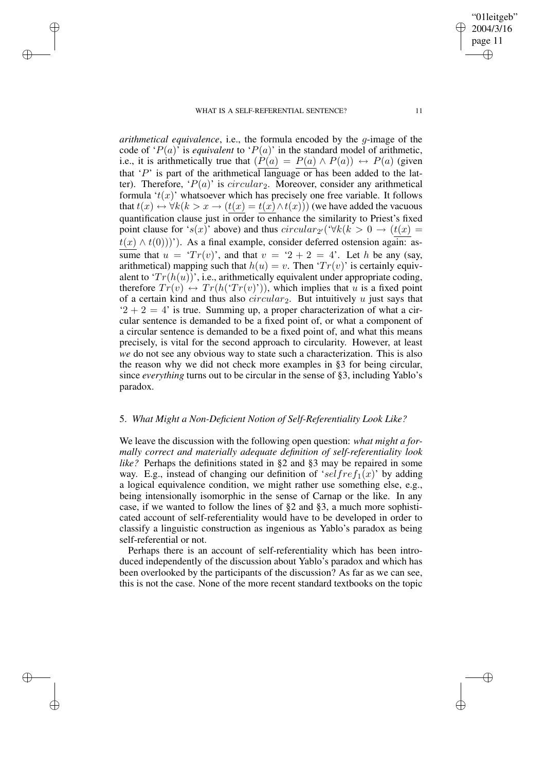### WHAT IS A SELF-REFERENTIAL SENTENCE? 11

✐

✐

✐

✐

*arithmetical equivalence*, i.e., the formula encoded by the g-image of the code of ' $P(a)$ ' is *equivalent* to ' $P(a)$ ' in the standard model of arithmetic, i.e., it is arithmetically true that  $(P(a) = P(a) \wedge P(a)) \leftrightarrow P(a)$  (given that 'P' is part of the arithmetical language or has been added to the latter). Therefore, ' $P(a)$ ' is circular<sub>2</sub>. Moreover, consider any arithmetical formula ' $t(x)$ ' whatsoever which has precisely one free variable. It follows that  $t(x) \leftrightarrow \forall k (k > x \rightarrow (t(x) = t(x) \land t(x)))$  (we have added the vacuous quantification clause just in order to enhance the similarity to Priest's fixed point clause for 's(x)' above) and thus  $circular_{2'}(\forall k(k > 0 \rightarrow (t(x) =$  $t(x) \wedge t(0))$ '). As a final example, consider deferred ostension again: assume that  $u = 'Tr(v)$ , and that  $v = '2 + 2 = 4'$ . Let h be any (say, arithmetical) mapping such that  $h(u) = v$ . Then ' $Tr(v)$ ' is certainly equivalent to ' $Tr(h(u))$ ', i.e., arithmetically equivalent under appropriate coding, therefore  $Tr(v) \leftrightarrow Tr(h(Tr(v)^{\prime}))$ , which implies that u is a fixed point of a certain kind and thus also  $circular_2$ . But intuitively u just says that  $2 + 2 = 4$  is true. Summing up, a proper characterization of what a circular sentence is demanded to be a fixed point of, or what a component of a circular sentence is demanded to be a fixed point of, and what this means precisely, is vital for the second approach to circularity. However, at least *we* do not see any obvious way to state such a characterization. This is also the reason why we did not check more examples in §3 for being circular, since *everything* turns out to be circular in the sense of §3, including Yablo's paradox.

# 5. *What Might a Non-Deficient Notion of Self-Referentiality Look Like?*

We leave the discussion with the following open question: *what might a formally correct and materially adequate definition of self-referentiality look like?* Perhaps the definitions stated in §2 and §3 may be repaired in some way. E.g., instead of changing our definition of 'selfref<sub>1</sub>(x)' by adding a logical equivalence condition, we might rather use something else, e.g., being intensionally isomorphic in the sense of Carnap or the like. In any case, if we wanted to follow the lines of §2 and §3, a much more sophisticated account of self-referentiality would have to be developed in order to classify a linguistic construction as ingenious as Yablo's paradox as being self-referential or not.

Perhaps there is an account of self-referentiality which has been introduced independently of the discussion about Yablo's paradox and which has been overlooked by the participants of the discussion? As far as we can see, this is not the case. None of the more recent standard textbooks on the topic

"01leitgeb" 2004/3/16 page 11

✐

✐

✐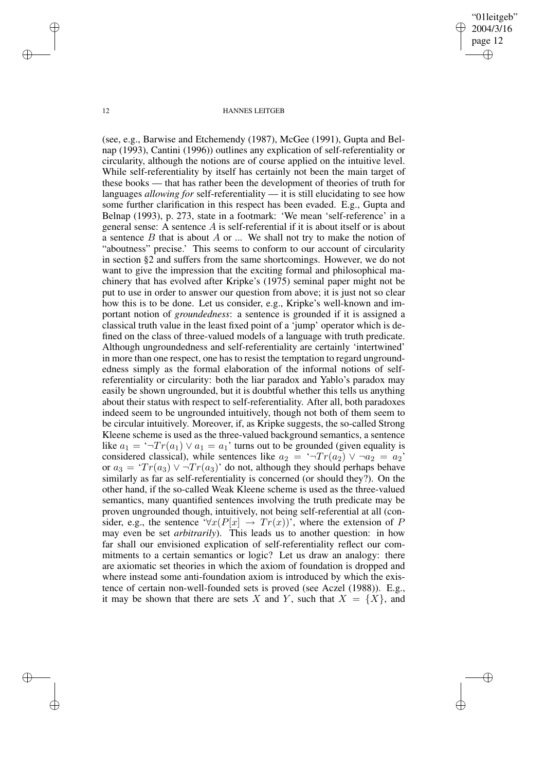"01leitgeb" 2004/3/16 page 12 ✐ ✐

✐

✐

#### 12 HANNES LEITGEB

(see, e.g., Barwise and Etchemendy (1987), McGee (1991), Gupta and Belnap (1993), Cantini (1996)) outlines any explication of self-referentiality or circularity, although the notions are of course applied on the intuitive level. While self-referentiality by itself has certainly not been the main target of these books — that has rather been the development of theories of truth for languages *allowing for* self-referentiality — it is still elucidating to see how some further clarification in this respect has been evaded. E.g., Gupta and Belnap (1993), p. 273, state in a footmark: 'We mean 'self-reference' in a general sense: A sentence  $A$  is self-referential if it is about itself or is about a sentence  $B$  that is about  $A$  or  $\ldots$  We shall not try to make the notion of "aboutness" precise.' This seems to conform to our account of circularity in section §2 and suffers from the same shortcomings. However, we do not want to give the impression that the exciting formal and philosophical machinery that has evolved after Kripke's (1975) seminal paper might not be put to use in order to answer our question from above; it is just not so clear how this is to be done. Let us consider, e.g., Kripke's well-known and important notion of *groundedness*: a sentence is grounded if it is assigned a classical truth value in the least fixed point of a 'jump' operator which is defined on the class of three-valued models of a language with truth predicate. Although ungroundedness and self-referentiality are certainly 'intertwined' in more than one respect, one has to resist the temptation to regard ungroundedness simply as the formal elaboration of the informal notions of selfreferentiality or circularity: both the liar paradox and Yablo's paradox may easily be shown ungrounded, but it is doubtful whether this tells us anything about their status with respect to self-referentiality. After all, both paradoxes indeed seem to be ungrounded intuitively, though not both of them seem to be circular intuitively. Moreover, if, as Kripke suggests, the so-called Strong Kleene scheme is used as the three-valued background semantics, a sentence like  $a_1 = \neg Tr(a_1) \lor a_1 = a_1$ ' turns out to be grounded (given equality is considered classical), while sentences like  $a_2 = \neg Tr(a_2) \vee \neg a_2 = a_2'$ or  $a_3 = 'Tr(a_3) \vee \neg Tr(a_3)'$  do not, although they should perhaps behave similarly as far as self-referentiality is concerned (or should they?). On the other hand, if the so-called Weak Kleene scheme is used as the three-valued semantics, many quantified sentences involving the truth predicate may be proven ungrounded though, intuitively, not being self-referential at all (consider, e.g., the sentence ' $\forall x (P[x] \rightarrow Tr(x))$ ', where the extension of P may even be set *arbitrarily*). This leads us to another question: in how far shall our envisioned explication of self-referentiality reflect our commitments to a certain semantics or logic? Let us draw an analogy: there are axiomatic set theories in which the axiom of foundation is dropped and where instead some anti-foundation axiom is introduced by which the existence of certain non-well-founded sets is proved (see Aczel (1988)). E.g., it may be shown that there are sets X and Y, such that  $X = \{X\}$ , and

✐

✐

✐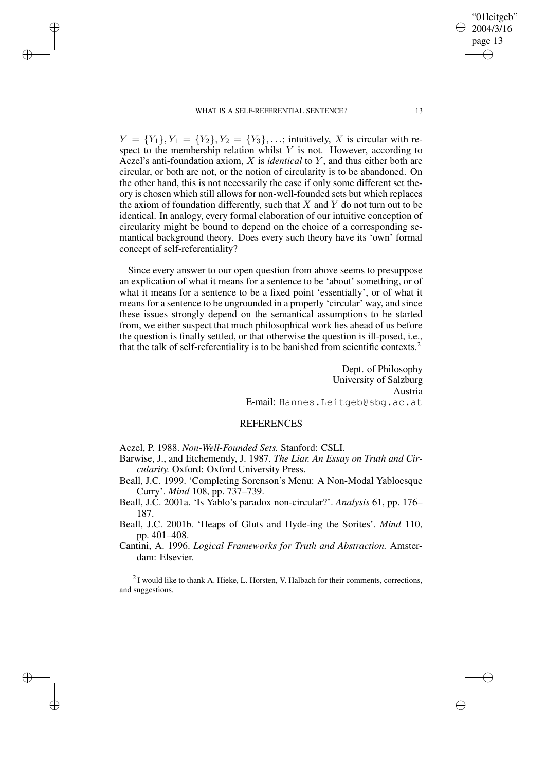#### WHAT IS A SELF-REFERENTIAL SENTENCE? 13

✐

✐

✐

✐

 $Y = \{Y_1\}, Y_1 = \{Y_2\}, Y_2 = \{Y_3\}, \ldots$ ; intuitively, X is circular with respect to the membership relation whilst  $Y$  is not. However, according to Aczel's anti-foundation axiom, X is *identical* to Y , and thus either both are circular, or both are not, or the notion of circularity is to be abandoned. On the other hand, this is not necessarily the case if only some different set theory is chosen which still allows for non-well-founded sets but which replaces the axiom of foundation differently, such that  $X$  and  $Y$  do not turn out to be identical. In analogy, every formal elaboration of our intuitive conception of circularity might be bound to depend on the choice of a corresponding semantical background theory. Does every such theory have its 'own' formal concept of self-referentiality?

Since every answer to our open question from above seems to presuppose an explication of what it means for a sentence to be 'about' something, or of what it means for a sentence to be a fixed point 'essentially', or of what it means for a sentence to be ungrounded in a properly 'circular' way, and since these issues strongly depend on the semantical assumptions to be started from, we either suspect that much philosophical work lies ahead of us before the question is finally settled, or that otherwise the question is ill-posed, i.e., that the talk of self-referentiality is to be banished from scientific contexts.<sup>2</sup>

> Dept. of Philosophy University of Salzburg Austria E-mail: Hannes.Leitgeb@sbg.ac.at

### REFERENCES

Aczel, P. 1988. *Non-Well-Founded Sets.* Stanford: CSLI.

Barwise, J., and Etchemendy, J. 1987. *The Liar. An Essay on Truth and Circularity.* Oxford: Oxford University Press.

Beall, J.C. 1999. 'Completing Sorenson's Menu: A Non-Modal Yabloesque Curry'. *Mind* 108, pp. 737–739.

Beall, J.C. 2001a. 'Is Yablo's paradox non-circular?'. *Analysis* 61, pp. 176– 187.

Beall, J.C. 2001b. 'Heaps of Gluts and Hyde-ing the Sorites'. *Mind* 110, pp. 401–408.

Cantini, A. 1996. *Logical Frameworks for Truth and Abstraction.* Amsterdam: Elsevier.

 $2$ I would like to thank A. Hieke, L. Horsten, V. Halbach for their comments, corrections, and suggestions.

"01leitgeb" 2004/3/16 page 13

✐

✐

✐